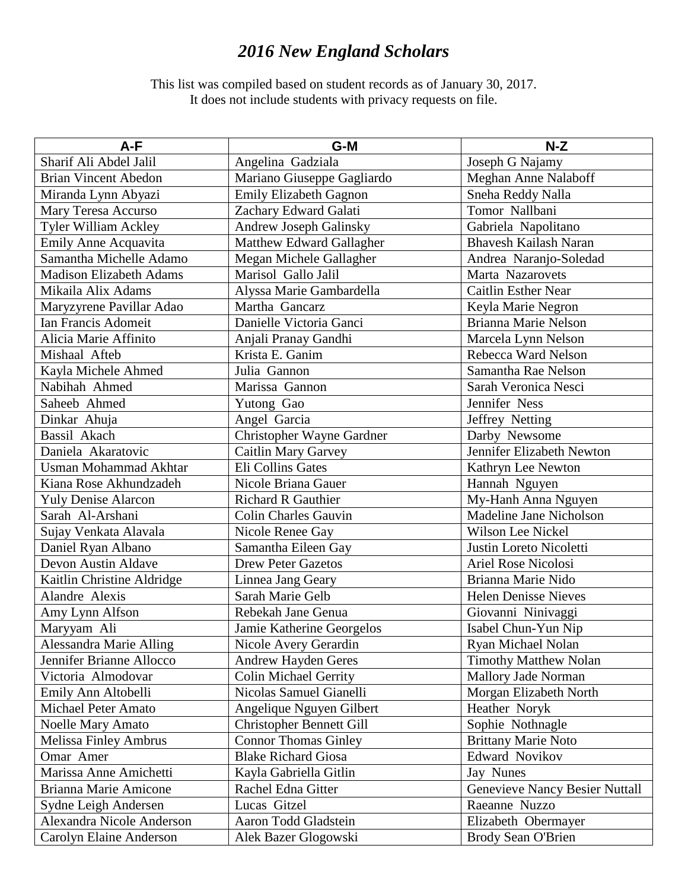## *2016 New England Scholars*

This list was compiled based on student records as of January 30, 2017. It does not include students with privacy requests on file.

| A-F                            | G-M                             | $N-Z$                                 |
|--------------------------------|---------------------------------|---------------------------------------|
| Sharif Ali Abdel Jalil         | Angelina Gadziala               | Joseph G Najamy                       |
| <b>Brian Vincent Abedon</b>    | Mariano Giuseppe Gagliardo      | Meghan Anne Nalaboff                  |
| Miranda Lynn Abyazi            | <b>Emily Elizabeth Gagnon</b>   | Sneha Reddy Nalla                     |
| Mary Teresa Accurso            | Zachary Edward Galati           | Tomor Nallbani                        |
| Tyler William Ackley           | Andrew Joseph Galinsky          | Gabriela Napolitano                   |
| <b>Emily Anne Acquavita</b>    | Matthew Edward Gallagher        | <b>Bhavesh Kailash Naran</b>          |
| Samantha Michelle Adamo        | Megan Michele Gallagher         | Andrea Naranjo-Soledad                |
| <b>Madison Elizabeth Adams</b> | Marisol Gallo Jalil             | Marta Nazarovets                      |
| Mikaila Alix Adams             | Alyssa Marie Gambardella        | <b>Caitlin Esther Near</b>            |
| Maryzyrene Pavillar Adao       | Martha Gancarz                  | Keyla Marie Negron                    |
| Ian Francis Adomeit            | Danielle Victoria Ganci         | Brianna Marie Nelson                  |
| Alicia Marie Affinito          | Anjali Pranay Gandhi            | Marcela Lynn Nelson                   |
| Mishaal Afteb                  | Krista E. Ganim                 | Rebecca Ward Nelson                   |
| Kayla Michele Ahmed            | Julia Gannon                    | Samantha Rae Nelson                   |
| Nabihah Ahmed                  | Marissa Gannon                  | Sarah Veronica Nesci                  |
| Saheeb Ahmed                   | Yutong Gao                      | Jennifer Ness                         |
| Dinkar Ahuja                   | Angel Garcia                    | Jeffrey Netting                       |
| Bassil Akach                   | Christopher Wayne Gardner       | Darby Newsome                         |
| Daniela Akaratovic             | <b>Caitlin Mary Garvey</b>      | Jennifer Elizabeth Newton             |
| <b>Usman Mohammad Akhtar</b>   | Eli Collins Gates               | Kathryn Lee Newton                    |
| Kiana Rose Akhundzadeh         | Nicole Briana Gauer             | Hannah Nguyen                         |
| <b>Yuly Denise Alarcon</b>     | <b>Richard R Gauthier</b>       | My-Hanh Anna Nguyen                   |
| Sarah Al-Arshani               | <b>Colin Charles Gauvin</b>     | Madeline Jane Nicholson               |
| Sujay Venkata Alavala          | Nicole Renee Gay                | Wilson Lee Nickel                     |
| Daniel Ryan Albano             | Samantha Eileen Gay             | Justin Loreto Nicoletti               |
| Devon Austin Aldave            | <b>Drew Peter Gazetos</b>       | Ariel Rose Nicolosi                   |
| Kaitlin Christine Aldridge     | Linnea Jang Geary               | Brianna Marie Nido                    |
| Alandre Alexis                 | Sarah Marie Gelb                | <b>Helen Denisse Nieves</b>           |
| Amy Lynn Alfson                | Rebekah Jane Genua              | Giovanni Ninivaggi                    |
| Maryyam Ali                    | Jamie Katherine Georgelos       | Isabel Chun-Yun Nip                   |
| Alessandra Marie Alling        | Nicole Avery Gerardin           | Ryan Michael Nolan                    |
| Jennifer Brianne Allocco       | <b>Andrew Hayden Geres</b>      | <b>Timothy Matthew Nolan</b>          |
| Victoria Almodovar             | <b>Colin Michael Gerrity</b>    | Mallory Jade Norman                   |
| Emily Ann Altobelli            | Nicolas Samuel Gianelli         | Morgan Elizabeth North                |
| <b>Michael Peter Amato</b>     | Angelique Nguyen Gilbert        | Heather Noryk                         |
| Noelle Mary Amato              | <b>Christopher Bennett Gill</b> | Sophie Nothnagle                      |
| Melissa Finley Ambrus          | <b>Connor Thomas Ginley</b>     | <b>Brittany Marie Noto</b>            |
| Omar Amer                      | <b>Blake Richard Giosa</b>      | Edward Novikov                        |
| Marissa Anne Amichetti         | Kayla Gabriella Gitlin          | Jay Nunes                             |
| <b>Brianna Marie Amicone</b>   | Rachel Edna Gitter              | <b>Genevieve Nancy Besier Nuttall</b> |
| Sydne Leigh Andersen           | Lucas Gitzel                    | Raeanne Nuzzo                         |
| Alexandra Nicole Anderson      | Aaron Todd Gladstein            | Elizabeth Obermayer                   |
| Carolyn Elaine Anderson        | Alek Bazer Glogowski            | Brody Sean O'Brien                    |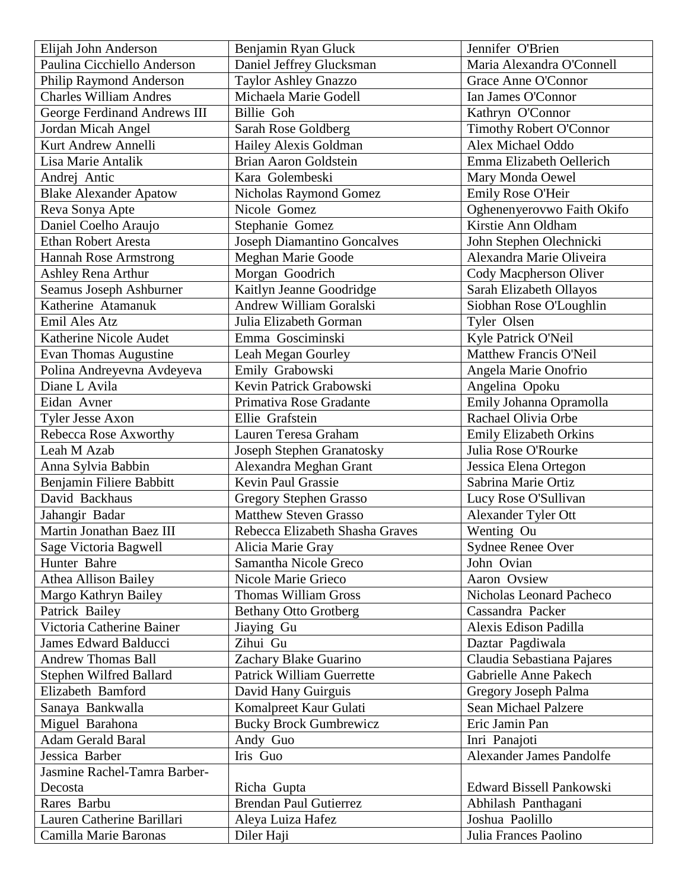| Elijah John Anderson           | Benjamin Ryan Gluck                | Jennifer O'Brien                |
|--------------------------------|------------------------------------|---------------------------------|
| Paulina Cicchiello Anderson    | Daniel Jeffrey Glucksman           | Maria Alexandra O'Connell       |
| Philip Raymond Anderson        | Taylor Ashley Gnazzo               | Grace Anne O'Connor             |
| <b>Charles William Andres</b>  | Michaela Marie Godell              | Ian James O'Connor              |
| George Ferdinand Andrews III   | Billie Goh                         | Kathryn O'Connor                |
| Jordan Micah Angel             | Sarah Rose Goldberg                | <b>Timothy Robert O'Connor</b>  |
| Kurt Andrew Annelli            | Hailey Alexis Goldman              | Alex Michael Oddo               |
| Lisa Marie Antalik             | <b>Brian Aaron Goldstein</b>       | Emma Elizabeth Oellerich        |
| Andrej Antic                   | Kara Golembeski                    | Mary Monda Oewel                |
| <b>Blake Alexander Apatow</b>  | Nicholas Raymond Gomez             | Emily Rose O'Heir               |
| Reva Sonya Apte                | Nicole Gomez                       | Oghenenyerovwo Faith Okifo      |
| Daniel Coelho Araujo           | Stephanie Gomez                    | Kirstie Ann Oldham              |
| <b>Ethan Robert Aresta</b>     | <b>Joseph Diamantino Goncalves</b> | John Stephen Olechnicki         |
| <b>Hannah Rose Armstrong</b>   | <b>Meghan Marie Goode</b>          | Alexandra Marie Oliveira        |
| Ashley Rena Arthur             | Morgan Goodrich                    | Cody Macpherson Oliver          |
| Seamus Joseph Ashburner        | Kaitlyn Jeanne Goodridge           | Sarah Elizabeth Ollayos         |
| Katherine Atamanuk             | Andrew William Goralski            | Siobhan Rose O'Loughlin         |
| Emil Ales Atz                  | Julia Elizabeth Gorman             | Tyler Olsen                     |
| Katherine Nicole Audet         | Emma Gosciminski                   | Kyle Patrick O'Neil             |
| Evan Thomas Augustine          | Leah Megan Gourley                 | Matthew Francis O'Neil          |
| Polina Andreyevna Avdeyeva     | Emily Grabowski                    | Angela Marie Onofrio            |
| Diane L Avila                  | Kevin Patrick Grabowski            | Angelina Opoku                  |
| Eidan Avner                    | Primativa Rose Gradante            | Emily Johanna Opramolla         |
| Tyler Jesse Axon               | Ellie Grafstein                    | Rachael Olivia Orbe             |
| Rebecca Rose Axworthy          | Lauren Teresa Graham               | <b>Emily Elizabeth Orkins</b>   |
| Leah M Azab                    | Joseph Stephen Granatosky          | Julia Rose O'Rourke             |
| Anna Sylvia Babbin             | Alexandra Meghan Grant             | Jessica Elena Ortegon           |
| Benjamin Filiere Babbitt       | <b>Kevin Paul Grassie</b>          | Sabrina Marie Ortiz             |
| David Backhaus                 | <b>Gregory Stephen Grasso</b>      | Lucy Rose O'Sullivan            |
| Jahangir Badar                 | <b>Matthew Steven Grasso</b>       | Alexander Tyler Ott             |
| Martin Jonathan Baez III       | Rebecca Elizabeth Shasha Graves    | Wenting Ou                      |
| Sage Victoria Bagwell          | Alicia Marie Gray                  | Sydnee Renee Over               |
| Hunter Bahre                   | Samantha Nicole Greco              | John Ovian                      |
| <b>Athea Allison Bailey</b>    | Nicole Marie Grieco                | Aaron Ovsiew                    |
| Margo Kathryn Bailey           | <b>Thomas William Gross</b>        | Nicholas Leonard Pacheco        |
| Patrick Bailey                 | <b>Bethany Otto Grotberg</b>       | Cassandra Packer                |
| Victoria Catherine Bainer      | Jiaying Gu                         | Alexis Edison Padilla           |
| <b>James Edward Balducci</b>   | Zihui Gu                           | Daztar Pagdiwala                |
| <b>Andrew Thomas Ball</b>      | Zachary Blake Guarino              | Claudia Sebastiana Pajares      |
| <b>Stephen Wilfred Ballard</b> | <b>Patrick William Guerrette</b>   | Gabrielle Anne Pakech           |
| Elizabeth Bamford              | David Hany Guirguis                | Gregory Joseph Palma            |
| Sanaya Bankwalla               | Komalpreet Kaur Gulati             | Sean Michael Palzere            |
| Miguel Barahona                | <b>Bucky Brock Gumbrewicz</b>      | Eric Jamin Pan                  |
| <b>Adam Gerald Baral</b>       | Andy Guo                           | Inri Panajoti                   |
| Jessica Barber                 | Iris Guo                           | <b>Alexander James Pandolfe</b> |
| Jasmine Rachel-Tamra Barber-   |                                    |                                 |
| Decosta                        | Richa Gupta                        | Edward Bissell Pankowski        |
| Rares Barbu                    | <b>Brendan Paul Gutierrez</b>      | Abhilash Panthagani             |
| Lauren Catherine Barillari     | Aleya Luiza Hafez                  | Joshua Paolillo                 |
| Camilla Marie Baronas          | Diler Haji                         | Julia Frances Paolino           |
|                                |                                    |                                 |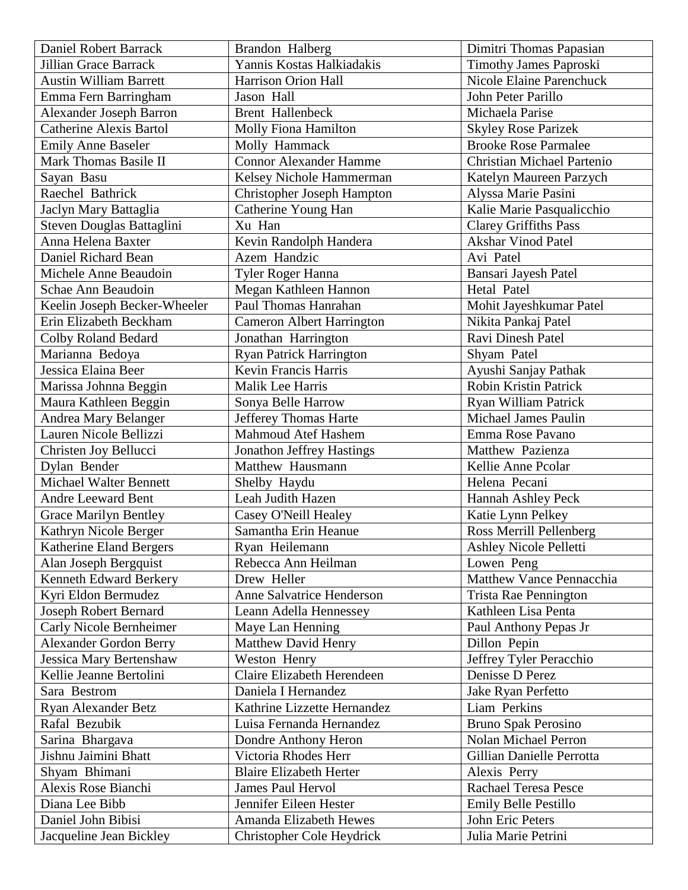| Daniel Robert Barrack                         | Brandon Halberg                                     | Dimitri Thomas Papasian                 |
|-----------------------------------------------|-----------------------------------------------------|-----------------------------------------|
| <b>Jillian Grace Barrack</b>                  | Yannis Kostas Halkiadakis                           | <b>Timothy James Paproski</b>           |
| <b>Austin William Barrett</b>                 | Harrison Orion Hall                                 | <b>Nicole Elaine Parenchuck</b>         |
| Emma Fern Barringham                          | Jason Hall                                          | John Peter Parillo                      |
| <b>Alexander Joseph Barron</b>                | <b>Brent Hallenbeck</b>                             | Michaela Parise                         |
| <b>Catherine Alexis Bartol</b>                | Molly Fiona Hamilton                                | <b>Skyley Rose Parizek</b>              |
| <b>Emily Anne Baseler</b>                     | Molly Hammack                                       | <b>Brooke Rose Parmalee</b>             |
| Mark Thomas Basile II                         | <b>Connor Alexander Hamme</b>                       | <b>Christian Michael Partenio</b>       |
| Sayan Basu                                    | Kelsey Nichole Hammerman                            | Katelyn Maureen Parzych                 |
| Raechel Bathrick                              | Christopher Joseph Hampton                          | Alyssa Marie Pasini                     |
| Jaclyn Mary Battaglia                         | Catherine Young Han                                 | Kalie Marie Pasqualicchio               |
| Steven Douglas Battaglini                     | Xu Han                                              | <b>Clarey Griffiths Pass</b>            |
| Anna Helena Baxter                            | Kevin Randolph Handera                              | <b>Akshar Vinod Patel</b>               |
| Daniel Richard Bean                           | Azem Handzic                                        | Avi Patel                               |
| Michele Anne Beaudoin                         | Tyler Roger Hanna                                   | Bansari Jayesh Patel                    |
| Schae Ann Beaudoin                            | Megan Kathleen Hannon                               | Hetal Patel                             |
| Keelin Joseph Becker-Wheeler                  | Paul Thomas Hanrahan                                | Mohit Jayeshkumar Patel                 |
| Erin Elizabeth Beckham                        | <b>Cameron Albert Harrington</b>                    | Nikita Pankaj Patel                     |
| Colby Roland Bedard                           | Jonathan Harrington                                 | Ravi Dinesh Patel                       |
| Marianna Bedoya                               | <b>Ryan Patrick Harrington</b>                      | Shyam Patel                             |
| Jessica Elaina Beer                           | Kevin Francis Harris                                | Ayushi Sanjay Pathak                    |
| Marissa Johnna Beggin                         | Malik Lee Harris                                    | <b>Robin Kristin Patrick</b>            |
| Maura Kathleen Beggin                         | Sonya Belle Harrow                                  | Ryan William Patrick                    |
| Andrea Mary Belanger                          | Jefferey Thomas Harte                               | <b>Michael James Paulin</b>             |
| Lauren Nicole Bellizzi                        | <b>Mahmoud Atef Hashem</b>                          | Emma Rose Pavano                        |
|                                               |                                                     |                                         |
|                                               |                                                     |                                         |
| Christen Joy Bellucci                         | Jonathon Jeffrey Hastings                           | Matthew Pazienza                        |
| Dylan Bender                                  | Matthew Hausmann                                    | Kellie Anne Pcolar                      |
| <b>Michael Walter Bennett</b>                 | Shelby Haydu                                        | Helena Pecani                           |
| <b>Andre Leeward Bent</b>                     | Leah Judith Hazen                                   | Hannah Ashley Peck                      |
| <b>Grace Marilyn Bentley</b>                  | Casey O'Neill Healey                                | Katie Lynn Pelkey                       |
| Kathryn Nicole Berger                         | Samantha Erin Heanue                                | Ross Merrill Pellenberg                 |
| Katherine Eland Bergers                       | Ryan Heilemann                                      | Ashley Nicole Pelletti                  |
| Alan Joseph Bergquist                         | Rebecca Ann Heilman                                 | Lowen Peng                              |
| Kenneth Edward Berkery                        | Drew Heller                                         | Matthew Vance Pennacchia                |
| Kyri Eldon Bermudez                           | Anne Salvatrice Henderson                           | Trista Rae Pennington                   |
| <b>Joseph Robert Bernard</b>                  | Leann Adella Hennessey                              | Kathleen Lisa Penta                     |
| Carly Nicole Bernheimer                       | Maye Lan Henning                                    | Paul Anthony Pepas Jr                   |
| <b>Alexander Gordon Berry</b>                 | <b>Matthew David Henry</b>                          | Dillon Pepin                            |
| Jessica Mary Bertenshaw                       | Weston Henry                                        | Jeffrey Tyler Peracchio                 |
| Kellie Jeanne Bertolini                       | Claire Elizabeth Herendeen                          | Denisse D Perez                         |
| Sara Bestrom                                  | Daniela I Hernandez                                 | Jake Ryan Perfetto                      |
| Ryan Alexander Betz                           | Kathrine Lizzette Hernandez                         | Liam Perkins                            |
| Rafal Bezubik                                 | Luisa Fernanda Hernandez                            | <b>Bruno Spak Perosino</b>              |
| Sarina Bhargava                               | Dondre Anthony Heron                                | <b>Nolan Michael Perron</b>             |
| Jishnu Jaimini Bhatt                          | Victoria Rhodes Herr                                | Gillian Danielle Perrotta               |
| Shyam Bhimani                                 | <b>Blaire Elizabeth Herter</b>                      | Alexis Perry                            |
| Alexis Rose Bianchi                           | <b>James Paul Hervol</b>                            | <b>Rachael Teresa Pesce</b>             |
| Diana Lee Bibb                                | Jennifer Eileen Hester                              | Emily Belle Pestillo                    |
| Daniel John Bibisi<br>Jacqueline Jean Bickley | Amanda Elizabeth Hewes<br>Christopher Cole Heydrick | John Eric Peters<br>Julia Marie Petrini |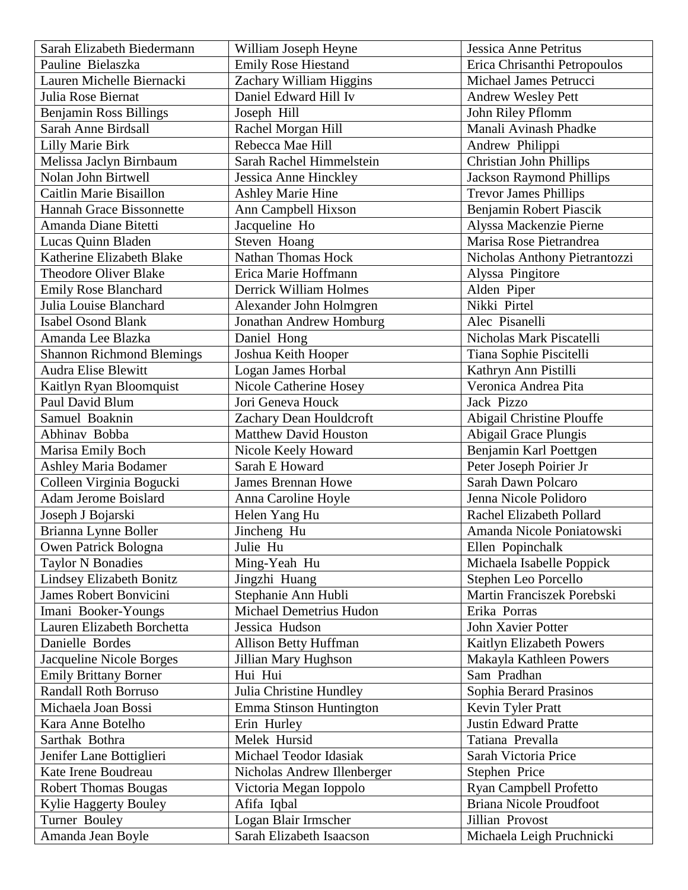| Sarah Elizabeth Biedermann       | William Joseph Heyne         | Jessica Anne Petritus           |
|----------------------------------|------------------------------|---------------------------------|
| Pauline Bielaszka                | <b>Emily Rose Hiestand</b>   | Erica Chrisanthi Petropoulos    |
| Lauren Michelle Biernacki        | Zachary William Higgins      | Michael James Petrucci          |
| Julia Rose Biernat               | Daniel Edward Hill Iv        | <b>Andrew Wesley Pett</b>       |
| Benjamin Ross Billings           | Joseph Hill                  | John Riley Pflomm               |
| Sarah Anne Birdsall              | Rachel Morgan Hill           | Manali Avinash Phadke           |
| <b>Lilly Marie Birk</b>          | Rebecca Mae Hill             | Andrew Philippi                 |
| Melissa Jaclyn Birnbaum          | Sarah Rachel Himmelstein     | <b>Christian John Phillips</b>  |
| Nolan John Birtwell              | Jessica Anne Hinckley        | <b>Jackson Raymond Phillips</b> |
| Caitlin Marie Bisaillon          | <b>Ashley Marie Hine</b>     | <b>Trevor James Phillips</b>    |
| <b>Hannah Grace Bissonnette</b>  | Ann Campbell Hixson          | Benjamin Robert Piascik         |
| Amanda Diane Bitetti             | Jacqueline Ho                | Alyssa Mackenzie Pierne         |
| Lucas Quinn Bladen               | Steven Hoang                 | Marisa Rose Pietrandrea         |
| Katherine Elizabeth Blake        | <b>Nathan Thomas Hock</b>    | Nicholas Anthony Pietrantozzi   |
| <b>Theodore Oliver Blake</b>     | Erica Marie Hoffmann         | Alyssa Pingitore                |
| <b>Emily Rose Blanchard</b>      | Derrick William Holmes       | Alden Piper                     |
| Julia Louise Blanchard           | Alexander John Holmgren      | Nikki Pirtel                    |
| <b>Isabel Osond Blank</b>        | Jonathan Andrew Homburg      | Alec Pisanelli                  |
| Amanda Lee Blazka                | Daniel Hong                  | Nicholas Mark Piscatelli        |
| <b>Shannon Richmond Blemings</b> | Joshua Keith Hooper          | Tiana Sophie Piscitelli         |
| <b>Audra Elise Blewitt</b>       | Logan James Horbal           | Kathryn Ann Pistilli            |
| Kaitlyn Ryan Bloomquist          | Nicole Catherine Hosey       | Veronica Andrea Pita            |
| Paul David Blum                  | Jori Geneva Houck            | Jack Pizzo                      |
| Samuel Boaknin                   | Zachary Dean Houldcroft      | Abigail Christine Plouffe       |
| Abhinav Bobba                    | <b>Matthew David Houston</b> | Abigail Grace Plungis           |
| Marisa Emily Boch                | Nicole Keely Howard          | Benjamin Karl Poettgen          |
| <b>Ashley Maria Bodamer</b>      | Sarah E Howard               | Peter Joseph Poirier Jr         |
| Colleen Virginia Bogucki         | <b>James Brennan Howe</b>    | Sarah Dawn Polcaro              |
| <b>Adam Jerome Boislard</b>      | Anna Caroline Hoyle          | Jenna Nicole Polidoro           |
| Joseph J Bojarski                | Helen Yang Hu                | Rachel Elizabeth Pollard        |
| Brianna Lynne Boller             | Jincheng Hu                  | Amanda Nicole Poniatowski       |
| Owen Patrick Bologna             | Julie Hu                     | Ellen Popinchalk                |
| <b>Taylor N Bonadies</b>         | Ming-Yeah Hu                 | Michaela Isabelle Poppick       |
| Lindsey Elizabeth Bonitz         | Jingzhi Huang                | Stephen Leo Porcello            |
| <b>James Robert Bonvicini</b>    | Stephanie Ann Hubli          | Martin Franciszek Porebski      |
| Imani Booker-Youngs              | Michael Demetrius Hudon      | Erika Porras                    |
| Lauren Elizabeth Borchetta       | Jessica Hudson               | John Xavier Potter              |
| Danielle Bordes                  | <b>Allison Betty Huffman</b> | Kaitlyn Elizabeth Powers        |
| Jacqueline Nicole Borges         | Jillian Mary Hughson         | Makayla Kathleen Powers         |
| <b>Emily Brittany Borner</b>     | Hui Hui                      | Sam Pradhan                     |
| <b>Randall Roth Borruso</b>      | Julia Christine Hundley      | Sophia Berard Prasinos          |
| Michaela Joan Bossi              | Emma Stinson Huntington      | Kevin Tyler Pratt               |
| Kara Anne Botelho                | Erin Hurley                  | <b>Justin Edward Pratte</b>     |
| Sarthak Bothra                   | Melek Hursid                 | Tatiana Prevalla                |
| Jenifer Lane Bottiglieri         | Michael Teodor Idasiak       | Sarah Victoria Price            |
| Kate Irene Boudreau              | Nicholas Andrew Illenberger  | Stephen Price                   |
| <b>Robert Thomas Bougas</b>      | Victoria Megan Ioppolo       | Ryan Campbell Profetto          |
| Kylie Haggerty Bouley            | Afifa Iqbal                  | Briana Nicole Proudfoot         |
| Turner Bouley                    | Logan Blair Irmscher         | Jillian Provost                 |
| Amanda Jean Boyle                | Sarah Elizabeth Isaacson     | Michaela Leigh Pruchnicki       |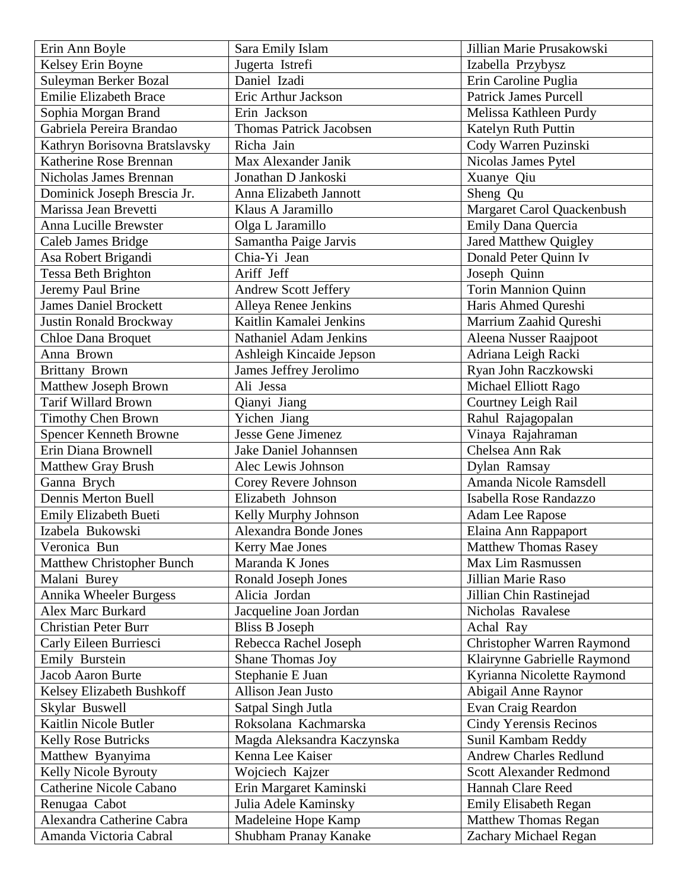| Erin Ann Boyle                                      | Sara Emily Islam                             | Jillian Marie Prusakowski                            |
|-----------------------------------------------------|----------------------------------------------|------------------------------------------------------|
| Kelsey Erin Boyne                                   | Jugerta Istrefi                              | Izabella Przybysz                                    |
| Suleyman Berker Bozal                               | Daniel Izadi                                 | Erin Caroline Puglia                                 |
| <b>Emilie Elizabeth Brace</b>                       | Eric Arthur Jackson                          | <b>Patrick James Purcell</b>                         |
| Sophia Morgan Brand                                 | Erin Jackson                                 | Melissa Kathleen Purdy                               |
| Gabriela Pereira Brandao                            | <b>Thomas Patrick Jacobsen</b>               | Katelyn Ruth Puttin                                  |
| Kathryn Borisovna Bratslavsky                       | Richa Jain                                   | Cody Warren Puzinski                                 |
| Katherine Rose Brennan                              | Max Alexander Janik                          | Nicolas James Pytel                                  |
| Nicholas James Brennan                              | Jonathan D Jankoski                          | Xuanye Qiu                                           |
| Dominick Joseph Brescia Jr.                         | Anna Elizabeth Jannott                       | Sheng Qu                                             |
| Marissa Jean Brevetti                               | Klaus A Jaramillo                            | Margaret Carol Quackenbush                           |
| Anna Lucille Brewster                               | Olga L Jaramillo                             | Emily Dana Quercia                                   |
| Caleb James Bridge                                  | Samantha Paige Jarvis                        | Jared Matthew Quigley                                |
| Asa Robert Brigandi                                 | Chia-Yi Jean                                 | Donald Peter Quinn Iv                                |
| <b>Tessa Beth Brighton</b>                          | Ariff Jeff                                   | Joseph Quinn                                         |
| Jeremy Paul Brine                                   | <b>Andrew Scott Jeffery</b>                  | Torin Mannion Quinn                                  |
| <b>James Daniel Brockett</b>                        | Alleya Renee Jenkins                         | Haris Ahmed Qureshi                                  |
| Justin Ronald Brockway                              | Kaitlin Kamalei Jenkins                      | Marrium Zaahid Qureshi                               |
| <b>Chloe Dana Broquet</b>                           | <b>Nathaniel Adam Jenkins</b>                | Aleena Nusser Raajpoot                               |
| Anna Brown                                          | Ashleigh Kincaide Jepson                     | Adriana Leigh Racki                                  |
| <b>Brittany Brown</b>                               | James Jeffrey Jerolimo                       | Ryan John Raczkowski                                 |
| Matthew Joseph Brown                                | Ali Jessa                                    | Michael Elliott Rago                                 |
| Tarif Willard Brown                                 | Qianyi Jiang                                 | Courtney Leigh Rail                                  |
| <b>Timothy Chen Brown</b>                           | Yichen Jiang                                 | Rahul Rajagopalan                                    |
| <b>Spencer Kenneth Browne</b>                       | <b>Jesse Gene Jimenez</b>                    | Vinaya Rajahraman                                    |
| Erin Diana Brownell                                 | Jake Daniel Johannsen                        | Chelsea Ann Rak                                      |
| <b>Matthew Gray Brush</b>                           | Alec Lewis Johnson                           | Dylan Ramsay                                         |
| Ganna Brych                                         | Corey Revere Johnson                         | Amanda Nicole Ramsdell                               |
| Dennis Merton Buell                                 | Elizabeth Johnson                            | Isabella Rose Randazzo                               |
| <b>Emily Elizabeth Bueti</b>                        | Kelly Murphy Johnson                         | Adam Lee Rapose                                      |
| Izabela Bukowski                                    | <b>Alexandra Bonde Jones</b>                 | Elaina Ann Rappaport                                 |
| Veronica Bun                                        | Kerry Mae Jones                              | <b>Matthew Thomas Rasey</b>                          |
| <b>Matthew Christopher Bunch</b>                    | Maranda K Jones                              | Max Lim Rasmussen                                    |
| Malani Burey                                        | Ronald Joseph Jones                          | Jillian Marie Raso                                   |
| Annika Wheeler Burgess                              | Alicia Jordan                                | Jillian Chin Rastinejad                              |
| <b>Alex Marc Burkard</b>                            | Jacqueline Joan Jordan                       | Nicholas Ravalese                                    |
| <b>Christian Peter Burr</b>                         | <b>Bliss B Joseph</b>                        | Achal Ray                                            |
| Carly Eileen Burriesci                              |                                              |                                                      |
| Emily Burstein                                      |                                              |                                                      |
|                                                     | Rebecca Rachel Joseph                        | Christopher Warren Raymond                           |
|                                                     | Shane Thomas Joy                             | Klairynne Gabrielle Raymond                          |
| Jacob Aaron Burte                                   | Stephanie E Juan                             | Kyrianna Nicolette Raymond                           |
| Kelsey Elizabeth Bushkoff                           | Allison Jean Justo                           | Abigail Anne Raynor                                  |
| Skylar Buswell                                      | Satpal Singh Jutla                           | Evan Craig Reardon                                   |
| Kaitlin Nicole Butler                               | Roksolana Kachmarska                         | <b>Cindy Yerensis Recinos</b>                        |
| <b>Kelly Rose Butricks</b>                          | Magda Aleksandra Kaczynska                   | Sunil Kambam Reddy                                   |
| Matthew Byanyima                                    | Kenna Lee Kaiser                             | <b>Andrew Charles Redlund</b>                        |
| Kelly Nicole Byrouty                                | Wojciech Kajzer                              | <b>Scott Alexander Redmond</b>                       |
| Catherine Nicole Cabano                             | Erin Margaret Kaminski                       | Hannah Clare Reed                                    |
| Renugaa Cabot                                       | Julia Adele Kaminsky                         | <b>Emily Elisabeth Regan</b>                         |
| Alexandra Catherine Cabra<br>Amanda Victoria Cabral | Madeleine Hope Kamp<br>Shubham Pranay Kanake | <b>Matthew Thomas Regan</b><br>Zachary Michael Regan |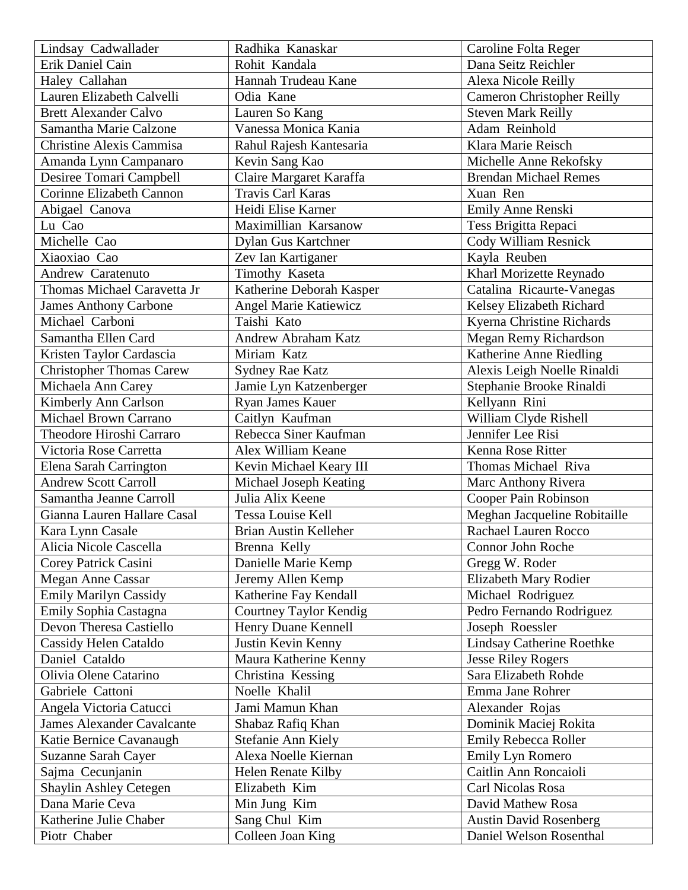| Lindsay Cadwallader                    | Radhika Kanaskar                   | Caroline Folta Reger                                     |
|----------------------------------------|------------------------------------|----------------------------------------------------------|
| Erik Daniel Cain                       | Rohit Kandala                      | Dana Seitz Reichler                                      |
| Haley Callahan                         | Hannah Trudeau Kane                | Alexa Nicole Reilly                                      |
| Lauren Elizabeth Calvelli              | Odia Kane                          | <b>Cameron Christopher Reilly</b>                        |
| <b>Brett Alexander Calvo</b>           | Lauren So Kang                     | <b>Steven Mark Reilly</b>                                |
| Samantha Marie Calzone                 | Vanessa Monica Kania               | Adam Reinhold                                            |
| <b>Christine Alexis Cammisa</b>        | Rahul Rajesh Kantesaria            | Klara Marie Reisch                                       |
| Amanda Lynn Campanaro                  | Kevin Sang Kao                     | Michelle Anne Rekofsky                                   |
| Desiree Tomari Campbell                | Claire Margaret Karaffa            | <b>Brendan Michael Remes</b>                             |
| Corinne Elizabeth Cannon               | Travis Carl Karas                  | Xuan Ren                                                 |
| Abigael Canova                         | Heidi Elise Karner                 | Emily Anne Renski                                        |
| Lu Cao                                 | Maximillian Karsanow               | Tess Brigitta Repaci                                     |
| Michelle Cao                           | Dylan Gus Kartchner                | Cody William Resnick                                     |
| Xiaoxiao Cao                           | Zev Ian Kartiganer                 | Kayla Reuben                                             |
| Andrew Caratenuto                      | Timothy Kaseta                     | Kharl Morizette Reynado                                  |
| Thomas Michael Caravetta Jr            | Katherine Deborah Kasper           | Catalina Ricaurte-Vanegas                                |
| <b>James Anthony Carbone</b>           | <b>Angel Marie Katiewicz</b>       | Kelsey Elizabeth Richard                                 |
| Michael Carboni                        | Taishi Kato                        | Kyerna Christine Richards                                |
| Samantha Ellen Card                    | <b>Andrew Abraham Katz</b>         | Megan Remy Richardson                                    |
| Kristen Taylor Cardascia               | Miriam Katz                        | Katherine Anne Riedling                                  |
| <b>Christopher Thomas Carew</b>        | <b>Sydney Rae Katz</b>             | Alexis Leigh Noelle Rinaldi                              |
| Michaela Ann Carey                     | Jamie Lyn Katzenberger             | Stephanie Brooke Rinaldi                                 |
| Kimberly Ann Carlson                   | Ryan James Kauer                   | Kellyann Rini                                            |
| <b>Michael Brown Carrano</b>           | Caitlyn Kaufman                    | William Clyde Rishell                                    |
| Theodore Hiroshi Carraro               | Rebecca Siner Kaufman              | Jennifer Lee Risi                                        |
|                                        |                                    |                                                          |
|                                        |                                    |                                                          |
| Victoria Rose Carretta                 | Alex William Keane                 | Kenna Rose Ritter                                        |
| Elena Sarah Carrington                 | Kevin Michael Keary III            | Thomas Michael Riva                                      |
| <b>Andrew Scott Carroll</b>            | Michael Joseph Keating             | Marc Anthony Rivera                                      |
| Samantha Jeanne Carroll                | Julia Alix Keene                   | Cooper Pain Robinson                                     |
| Gianna Lauren Hallare Casal            | Tessa Louise Kell                  | Meghan Jacqueline Robitaille                             |
| Kara Lynn Casale                       | <b>Brian Austin Kelleher</b>       | Rachael Lauren Rocco                                     |
| Alicia Nicole Cascella                 | Brenna Kelly                       | Connor John Roche                                        |
| Corey Patrick Casini                   | Danielle Marie Kemp                | Gregg W. Roder                                           |
| <b>Megan Anne Cassar</b>               | Jeremy Allen Kemp                  | Elizabeth Mary Rodier                                    |
| <b>Emily Marilyn Cassidy</b>           | Katherine Fay Kendall              | Michael Rodriguez                                        |
| Emily Sophia Castagna                  | Courtney Taylor Kendig             | Pedro Fernando Rodriguez                                 |
| Devon Theresa Castiello                | Henry Duane Kennell                | Joseph Roessler                                          |
| Cassidy Helen Cataldo                  | Justin Kevin Kenny                 | Lindsay Catherine Roethke                                |
| Daniel Cataldo                         | Maura Katherine Kenny              | <b>Jesse Riley Rogers</b>                                |
| Olivia Olene Catarino                  | Christina Kessing                  | Sara Elizabeth Rohde                                     |
| Gabriele Cattoni                       | Noelle Khalil                      | Emma Jane Rohrer                                         |
| Angela Victoria Catucci                | Jami Mamun Khan                    | Alexander Rojas                                          |
| <b>James Alexander Cavalcante</b>      | Shabaz Rafiq Khan                  | Dominik Maciej Rokita                                    |
| Katie Bernice Cavanaugh                | Stefanie Ann Kiely                 | Emily Rebecca Roller                                     |
| Suzanne Sarah Cayer                    | Alexa Noelle Kiernan               | Emily Lyn Romero                                         |
| Sajma Cecunjanin                       | Helen Renate Kilby                 | Caitlin Ann Roncaioli                                    |
| Shaylin Ashley Cetegen                 | Elizabeth Kim                      | Carl Nicolas Rosa                                        |
| Dana Marie Ceva                        | Min Jung Kim                       | David Mathew Rosa                                        |
| Katherine Julie Chaber<br>Piotr Chaber | Sang Chul Kim<br>Colleen Joan King | <b>Austin David Rosenberg</b><br>Daniel Welson Rosenthal |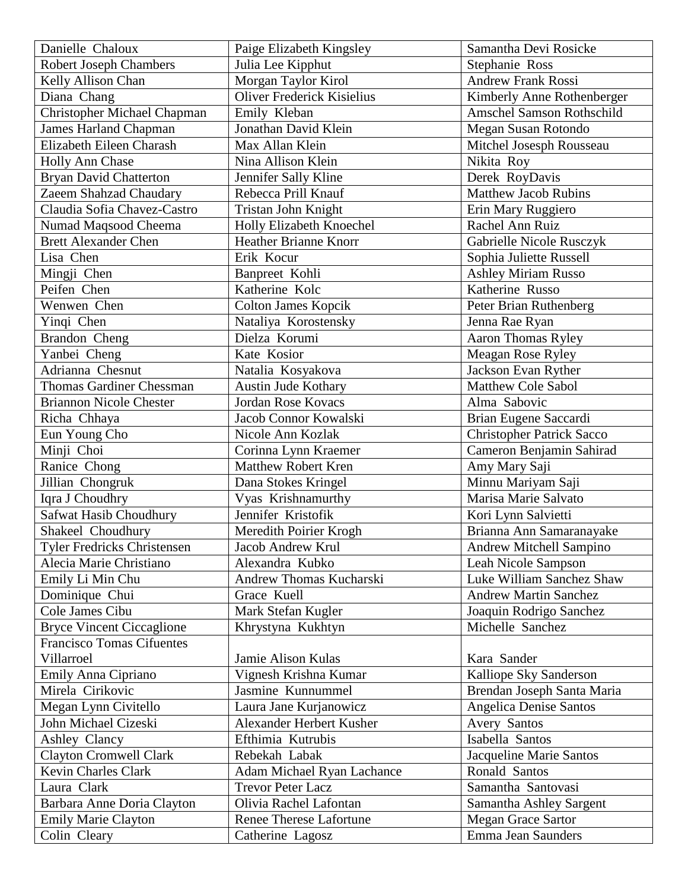| Danielle Chaloux                   | Paige Elizabeth Kingsley          | Samantha Devi Rosicke            |
|------------------------------------|-----------------------------------|----------------------------------|
| <b>Robert Joseph Chambers</b>      | Julia Lee Kipphut                 | Stephanie Ross                   |
| Kelly Allison Chan                 | Morgan Taylor Kirol               | <b>Andrew Frank Rossi</b>        |
| Diana Chang                        | Oliver Frederick Kisielius        | Kimberly Anne Rothenberger       |
| <b>Christopher Michael Chapman</b> | Emily Kleban                      | Amschel Samson Rothschild        |
| <b>James Harland Chapman</b>       | Jonathan David Klein              | Megan Susan Rotondo              |
| Elizabeth Eileen Charash           | Max Allan Klein                   | Mitchel Josesph Rousseau         |
| Holly Ann Chase                    | Nina Allison Klein                | Nikita Roy                       |
| <b>Bryan David Chatterton</b>      | Jennifer Sally Kline              | Derek RoyDavis                   |
| Zaeem Shahzad Chaudary             | Rebecca Prill Knauf               | <b>Matthew Jacob Rubins</b>      |
| Claudia Sofia Chavez-Castro        | Tristan John Knight               | Erin Mary Ruggiero               |
| Numad Maqsood Cheema               | Holly Elizabeth Knoechel          | Rachel Ann Ruiz                  |
| <b>Brett Alexander Chen</b>        | <b>Heather Brianne Knorr</b>      | Gabrielle Nicole Rusczyk         |
| Lisa Chen                          | Erik Kocur                        | Sophia Juliette Russell          |
| Mingji Chen                        | Banpreet Kohli                    | <b>Ashley Miriam Russo</b>       |
| Peifen Chen                        | Katherine Kolc                    | Katherine Russo                  |
| Wenwen Chen                        | <b>Colton James Kopcik</b>        | Peter Brian Ruthenberg           |
| Yinqi Chen                         | Nataliya Korostensky              | Jenna Rae Ryan                   |
| Brandon Cheng                      | Dielza Korumi                     | Aaron Thomas Ryley               |
| Yanbei Cheng                       | Kate Kosior                       | Meagan Rose Ryley                |
| Adrianna Chesnut                   | Natalia Kosyakova                 | Jackson Evan Ryther              |
| <b>Thomas Gardiner Chessman</b>    | <b>Austin Jude Kothary</b>        | <b>Matthew Cole Sabol</b>        |
| <b>Briannon Nicole Chester</b>     | <b>Jordan Rose Kovacs</b>         | Alma Sabovic                     |
| Richa Chhaya                       | Jacob Connor Kowalski             | Brian Eugene Saccardi            |
| Eun Young Cho                      | Nicole Ann Kozlak                 | <b>Christopher Patrick Sacco</b> |
| Minji Choi                         | Corinna Lynn Kraemer              | Cameron Benjamin Sahirad         |
| Ranice Chong                       | Matthew Robert Kren               | Amy Mary Saji                    |
| Jillian Chongruk                   | Dana Stokes Kringel               | Minnu Mariyam Saji               |
| Iqra J Choudhry                    | Vyas Krishnamurthy                | Marisa Marie Salvato             |
| Safwat Hasib Choudhury             | Jennifer Kristofik                | Kori Lynn Salvietti              |
| Shakeel Choudhury                  | Meredith Poirier Krogh            | Brianna Ann Samaranayake         |
| Tyler Fredricks Christensen        | Jacob Andrew Krul                 | Andrew Mitchell Sampino          |
| Alecia Marie Christiano            | Alexandra Kubko                   | Leah Nicole Sampson              |
| Emily Li Min Chu                   | Andrew Thomas Kucharski           | Luke William Sanchez Shaw        |
| Dominique Chui                     | Grace Kuell                       | <b>Andrew Martin Sanchez</b>     |
| Cole James Cibu                    | Mark Stefan Kugler                | Joaquin Rodrigo Sanchez          |
| <b>Bryce Vincent Ciccaglione</b>   | Khrystyna Kukhtyn                 | Michelle Sanchez                 |
| <b>Francisco Tomas Cifuentes</b>   |                                   |                                  |
| Villarroel                         | Jamie Alison Kulas                | Kara Sander                      |
| Emily Anna Cipriano                | Vignesh Krishna Kumar             | Kalliope Sky Sanderson           |
| Mirela Cirikovic                   | Jasmine Kunnummel                 | Brendan Joseph Santa Maria       |
| Megan Lynn Civitello               | Laura Jane Kurjanowicz            | <b>Angelica Denise Santos</b>    |
| John Michael Cizeski               | Alexander Herbert Kusher          | Avery Santos                     |
| Ashley Clancy                      | Efthimia Kutrubis                 | Isabella Santos                  |
| <b>Clayton Cromwell Clark</b>      | Rebekah Labak                     | Jacqueline Marie Santos          |
| <b>Kevin Charles Clark</b>         | <b>Adam Michael Ryan Lachance</b> | Ronald Santos                    |
| Laura Clark                        | <b>Trevor Peter Lacz</b>          | Samantha Santovasi               |
| Barbara Anne Doria Clayton         | Olivia Rachel Lafontan            | Samantha Ashley Sargent          |
| <b>Emily Marie Clayton</b>         | <b>Renee Therese Lafortune</b>    | <b>Megan Grace Sartor</b>        |
| Colin Cleary                       | Catherine Lagosz                  | Emma Jean Saunders               |
|                                    |                                   |                                  |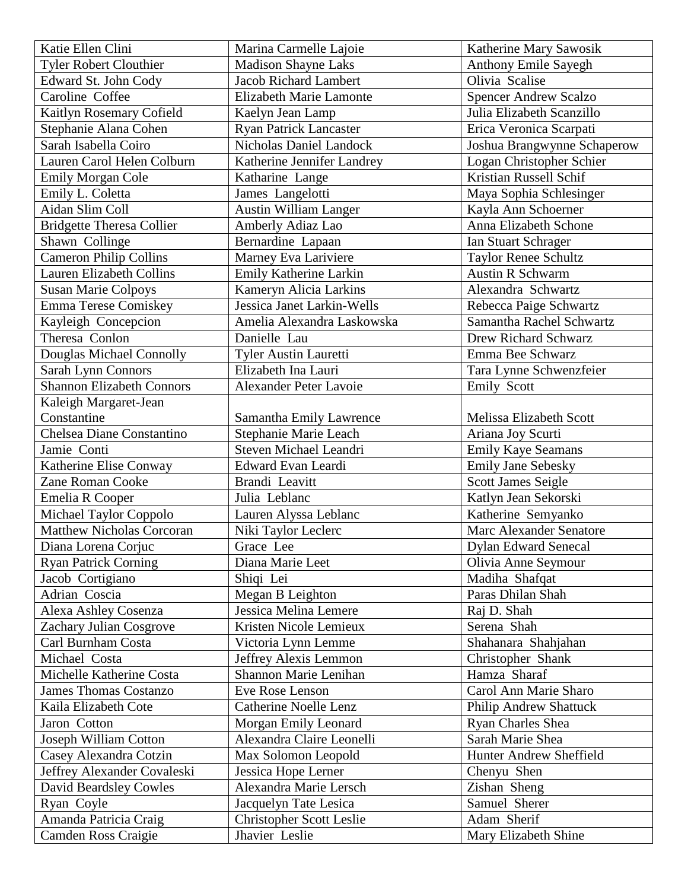| Katie Ellen Clini                | Marina Carmelle Lajoie          | Katherine Mary Sawosik         |
|----------------------------------|---------------------------------|--------------------------------|
| <b>Tyler Robert Clouthier</b>    | <b>Madison Shayne Laks</b>      | Anthony Emile Sayegh           |
| Edward St. John Cody             | <b>Jacob Richard Lambert</b>    | Olivia Scalise                 |
| Caroline Coffee                  | Elizabeth Marie Lamonte         | <b>Spencer Andrew Scalzo</b>   |
| Kaitlyn Rosemary Cofield         | Kaelyn Jean Lamp                | Julia Elizabeth Scanzillo      |
| Stephanie Alana Cohen            | <b>Ryan Patrick Lancaster</b>   | Erica Veronica Scarpati        |
| Sarah Isabella Coiro             | Nicholas Daniel Landock         | Joshua Brangwynne Schaperow    |
| Lauren Carol Helen Colburn       | Katherine Jennifer Landrey      | Logan Christopher Schier       |
| <b>Emily Morgan Cole</b>         | Katharine Lange                 | Kristian Russell Schif         |
| Emily L. Coletta                 | James Langelotti                | Maya Sophia Schlesinger        |
| Aidan Slim Coll                  | <b>Austin William Langer</b>    | Kayla Ann Schoerner            |
| <b>Bridgette Theresa Collier</b> | Amberly Adiaz Lao               | Anna Elizabeth Schone          |
| Shawn Collinge                   | Bernardine Lapaan               | Ian Stuart Schrager            |
| <b>Cameron Philip Collins</b>    | Marney Eva Lariviere            | <b>Taylor Renee Schultz</b>    |
| Lauren Elizabeth Collins         | Emily Katherine Larkin          | <b>Austin R Schwarm</b>        |
| <b>Susan Marie Colpoys</b>       | Kameryn Alicia Larkins          | Alexandra Schwartz             |
| Emma Terese Comiskey             | Jessica Janet Larkin-Wells      | Rebecca Paige Schwartz         |
| Kayleigh Concepcion              | Amelia Alexandra Laskowska      | Samantha Rachel Schwartz       |
| Theresa Conlon                   | Danielle Lau                    | <b>Drew Richard Schwarz</b>    |
| Douglas Michael Connolly         | <b>Tyler Austin Lauretti</b>    | Emma Bee Schwarz               |
| Sarah Lynn Connors               | Elizabeth Ina Lauri             | Tara Lynne Schwenzfeier        |
| <b>Shannon Elizabeth Connors</b> | Alexander Peter Lavoie          | Emily Scott                    |
| Kaleigh Margaret-Jean            |                                 |                                |
| Constantine                      | Samantha Emily Lawrence         | <b>Melissa Elizabeth Scott</b> |
| Chelsea Diane Constantino        | Stephanie Marie Leach           | Ariana Joy Scurti              |
| Jamie Conti                      | Steven Michael Leandri          | Emily Kaye Seamans             |
| Katherine Elise Conway           | Edward Evan Leardi              | <b>Emily Jane Sebesky</b>      |
| <b>Zane Roman Cooke</b>          | Brandi Leavitt                  | <b>Scott James Seigle</b>      |
| Emelia R Cooper                  | Julia Leblanc                   | Katlyn Jean Sekorski           |
| Michael Taylor Coppolo           | Lauren Alyssa Leblanc           | Katherine Semyanko             |
| <b>Matthew Nicholas Corcoran</b> | Niki Taylor Leclerc             | Marc Alexander Senatore        |
| Diana Lorena Corjuc              | Grace Lee                       | <b>Dylan Edward Senecal</b>    |
| <b>Ryan Patrick Corning</b>      | Diana Marie Leet                | Olivia Anne Seymour            |
| Jacob Cortigiano                 | Shiqi Lei                       | Madiha Shafqat                 |
| Adrian Coscia                    | Megan B Leighton                | Paras Dhilan Shah              |
| Alexa Ashley Cosenza             | Jessica Melina Lemere           | Raj D. Shah                    |
| Zachary Julian Cosgrove          | Kristen Nicole Lemieux          | Serena Shah                    |
| Carl Burnham Costa               | Victoria Lynn Lemme             | Shahanara Shahjahan            |
| Michael Costa                    | Jeffrey Alexis Lemmon           | Christopher Shank              |
| Michelle Katherine Costa         | Shannon Marie Lenihan           | Hamza Sharaf                   |
| <b>James Thomas Costanzo</b>     | Eve Rose Lenson                 | Carol Ann Marie Sharo          |
| Kaila Elizabeth Cote             | <b>Catherine Noelle Lenz</b>    | <b>Philip Andrew Shattuck</b>  |
| Jaron Cotton                     | Morgan Emily Leonard            | <b>Ryan Charles Shea</b>       |
| Joseph William Cotton            | Alexandra Claire Leonelli       | Sarah Marie Shea               |
| Casey Alexandra Cotzin           | Max Solomon Leopold             | <b>Hunter Andrew Sheffield</b> |
| Jeffrey Alexander Covaleski      | Jessica Hope Lerner             | Chenyu Shen                    |
| David Beardsley Cowles           | Alexandra Marie Lersch          | Zishan Sheng                   |
| Ryan Coyle                       | Jacquelyn Tate Lesica           | Samuel Sherer                  |
| Amanda Patricia Craig            | <b>Christopher Scott Leslie</b> | Adam Sherif                    |
| Camden Ross Craigie              | Jhavier Leslie                  | Mary Elizabeth Shine           |
|                                  |                                 |                                |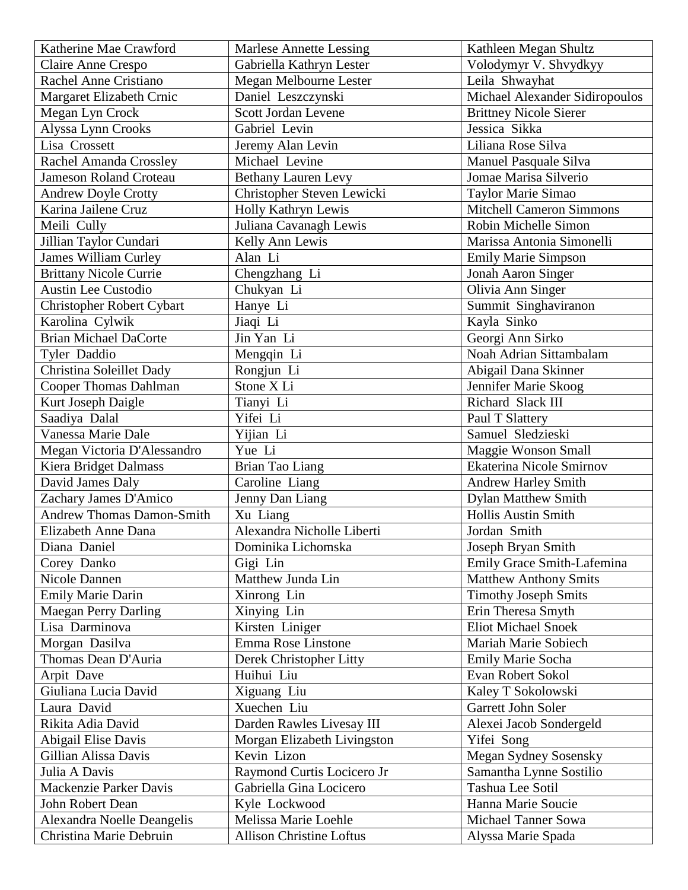| Katherine Mae Crawford           | <b>Marlese Annette Lessing</b>  | Kathleen Megan Shultz           |
|----------------------------------|---------------------------------|---------------------------------|
| Claire Anne Crespo               | Gabriella Kathryn Lester        | Volodymyr V. Shvydkyy           |
| Rachel Anne Cristiano            | Megan Melbourne Lester          | Leila Shwayhat                  |
| Margaret Elizabeth Crnic         | Daniel Leszczynski              | Michael Alexander Sidiropoulos  |
| Megan Lyn Crock                  | Scott Jordan Levene             | <b>Brittney Nicole Sierer</b>   |
| Alyssa Lynn Crooks               | Gabriel Levin                   | Jessica Sikka                   |
| Lisa Crossett                    | Jeremy Alan Levin               | Liliana Rose Silva              |
| Rachel Amanda Crossley           | Michael Levine                  | Manuel Pasquale Silva           |
| <b>Jameson Roland Croteau</b>    | <b>Bethany Lauren Levy</b>      | Jomae Marisa Silverio           |
| Andrew Doyle Crotty              | Christopher Steven Lewicki      | Taylor Marie Simao              |
| Karina Jailene Cruz              | Holly Kathryn Lewis             | <b>Mitchell Cameron Simmons</b> |
| Meili Cully                      | Juliana Cavanagh Lewis          | Robin Michelle Simon            |
| Jillian Taylor Cundari           | Kelly Ann Lewis                 | Marissa Antonia Simonelli       |
| <b>James William Curley</b>      | Alan Li                         | <b>Emily Marie Simpson</b>      |
| <b>Brittany Nicole Currie</b>    | Chengzhang Li                   | Jonah Aaron Singer              |
| <b>Austin Lee Custodio</b>       | Chukyan Li                      | Olivia Ann Singer               |
| <b>Christopher Robert Cybart</b> | Hanye Li                        | Summit Singhaviranon            |
| Karolina Cylwik                  | Jiaqi Li                        | Kayla Sinko                     |
| <b>Brian Michael DaCorte</b>     | Jin Yan Li                      | Georgi Ann Sirko                |
| Tyler Daddio                     | Mengqin Li                      | Noah Adrian Sittambalam         |
| Christina Soleillet Dady         | Rongjun Li                      | Abigail Dana Skinner            |
| <b>Cooper Thomas Dahlman</b>     | Stone X Li                      | Jennifer Marie Skoog            |
| Kurt Joseph Daigle               | Tianyi Li                       | Richard Slack III               |
| Saadiya Dalal                    | Yifei Li                        | Paul T Slattery                 |
| Vanessa Marie Dale               | Yijian Li                       | Samuel Sledzieski               |
| Megan Victoria D'Alessandro      | Yue Li                          | Maggie Wonson Small             |
| Kiera Bridget Dalmass            | <b>Brian Tao Liang</b>          | Ekaterina Nicole Smirnov        |
| David James Daly                 | Caroline Liang                  | Andrew Harley Smith             |
| Zachary James D'Amico            | Jenny Dan Liang                 | <b>Dylan Matthew Smith</b>      |
| <b>Andrew Thomas Damon-Smith</b> | Xu Liang                        | <b>Hollis Austin Smith</b>      |
| Elizabeth Anne Dana              | Alexandra Nicholle Liberti      | Jordan Smith                    |
| Diana Daniel                     | Dominika Lichomska              | Joseph Bryan Smith              |
| Corey Danko                      | Gigi Lin                        | Emily Grace Smith-Lafemina      |
| Nicole Dannen                    | Matthew Junda Lin               | <b>Matthew Anthony Smits</b>    |
| <b>Emily Marie Darin</b>         | Xinrong Lin                     | <b>Timothy Joseph Smits</b>     |
| <b>Maegan Perry Darling</b>      | Xinying Lin                     | Erin Theresa Smyth              |
| Lisa Darminova                   | Kirsten Liniger                 | <b>Eliot Michael Snoek</b>      |
| Morgan Dasilva                   | Emma Rose Linstone              | Mariah Marie Sobiech            |
| Thomas Dean D'Auria              | Derek Christopher Litty         | Emily Marie Socha               |
| Arpit Dave                       | Huihui Liu                      | Evan Robert Sokol               |
| Giuliana Lucia David             | Xiguang Liu                     | Kaley T Sokolowski              |
| Laura David                      | Xuechen Liu                     | Garrett John Soler              |
| Rikita Adia David                | Darden Rawles Livesay III       | Alexei Jacob Sondergeld         |
| Abigail Elise Davis              | Morgan Elizabeth Livingston     | Yifei Song                      |
| Gillian Alissa Davis             | Kevin Lizon                     | <b>Megan Sydney Sosensky</b>    |
| Julia A Davis                    | Raymond Curtis Locicero Jr      | Samantha Lynne Sostilio         |
| Mackenzie Parker Davis           | Gabriella Gina Locicero         | Tashua Lee Sotil                |
| John Robert Dean                 | Kyle Lockwood                   | Hanna Marie Soucie              |
| Alexandra Noelle Deangelis       | Melissa Marie Loehle            | <b>Michael Tanner Sowa</b>      |
| Christina Marie Debruin          | <b>Allison Christine Loftus</b> | Alyssa Marie Spada              |
|                                  |                                 |                                 |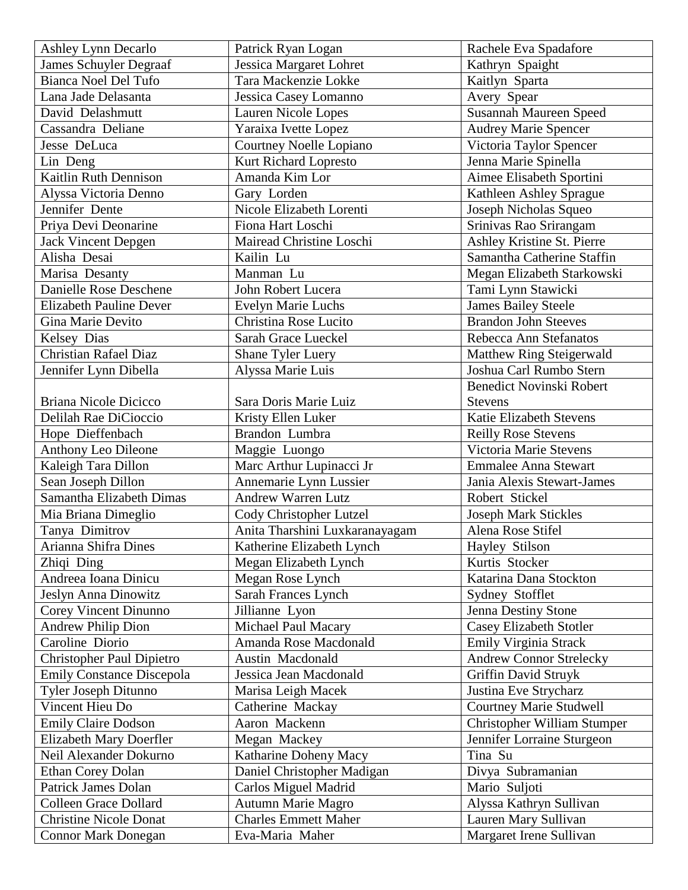| <b>Ashley Lynn Decarlo</b>       | Patrick Ryan Logan             | Rachele Eva Spadafore           |
|----------------------------------|--------------------------------|---------------------------------|
| James Schuyler Degraaf           | Jessica Margaret Lohret        | Kathryn Spaight                 |
| <b>Bianca Noel Del Tufo</b>      | Tara Mackenzie Lokke           | Kaitlyn Sparta                  |
| Lana Jade Delasanta              | Jessica Casey Lomanno          | Avery Spear                     |
| David Delashmutt                 | Lauren Nicole Lopes            | <b>Susannah Maureen Speed</b>   |
| Cassandra Deliane                | Yaraixa Ivette Lopez           | <b>Audrey Marie Spencer</b>     |
| Jesse DeLuca                     | Courtney Noelle Lopiano        | Victoria Taylor Spencer         |
| Lin Deng                         | Kurt Richard Lopresto          | Jenna Marie Spinella            |
| Kaitlin Ruth Dennison            | Amanda Kim Lor                 | Aimee Elisabeth Sportini        |
| Alyssa Victoria Denno            | Gary Lorden                    | Kathleen Ashley Sprague         |
| Jennifer Dente                   | Nicole Elizabeth Lorenti       | Joseph Nicholas Squeo           |
| Priya Devi Deonarine             | Fiona Hart Loschi              | Srinivas Rao Srirangam          |
| <b>Jack Vincent Depgen</b>       | Mairead Christine Loschi       | Ashley Kristine St. Pierre      |
| Alisha Desai                     | Kailin Lu                      | Samantha Catherine Staffin      |
| Marisa Desanty                   | Manman Lu                      | Megan Elizabeth Starkowski      |
| Danielle Rose Deschene           | John Robert Lucera             | Tami Lynn Stawicki              |
| <b>Elizabeth Pauline Dever</b>   | <b>Evelyn Marie Luchs</b>      | <b>James Bailey Steele</b>      |
| Gina Marie Devito                | Christina Rose Lucito          | <b>Brandon John Steeves</b>     |
| Kelsey Dias                      | Sarah Grace Lueckel            | Rebecca Ann Stefanatos          |
| <b>Christian Rafael Diaz</b>     | Shane Tyler Luery              | Matthew Ring Steigerwald        |
| Jennifer Lynn Dibella            | Alyssa Marie Luis              | Joshua Carl Rumbo Stern         |
|                                  |                                | <b>Benedict Novinski Robert</b> |
| Briana Nicole Dicicco            | Sara Doris Marie Luiz          | <b>Stevens</b>                  |
| Delilah Rae DiCioccio            | Kristy Ellen Luker             | <b>Katie Elizabeth Stevens</b>  |
| Hope Dieffenbach                 | Brandon Lumbra                 | <b>Reilly Rose Stevens</b>      |
| Anthony Leo Dileone              | Maggie Luongo                  | Victoria Marie Stevens          |
| Kaleigh Tara Dillon              | Marc Arthur Lupinacci Jr       | <b>Emmalee Anna Stewart</b>     |
| Sean Joseph Dillon               | Annemarie Lynn Lussier         | Jania Alexis Stewart-James      |
| Samantha Elizabeth Dimas         | <b>Andrew Warren Lutz</b>      | Robert Stickel                  |
| Mia Briana Dimeglio              | Cody Christopher Lutzel        | <b>Joseph Mark Stickles</b>     |
| Tanya Dimitrov                   | Anita Tharshini Luxkaranayagam | Alena Rose Stifel               |
| Arianna Shifra Dines             | Katherine Elizabeth Lynch      | Hayley Stilson                  |
| Zhiqi Ding                       | Megan Elizabeth Lynch          | Kurtis Stocker                  |
| Andreea Ioana Dinicu             | Megan Rose Lynch               | Katarina Dana Stockton          |
| Jeslyn Anna Dinowitz             | Sarah Frances Lynch            | Sydney Stofflet                 |
| Corey Vincent Dinunno            | Jillianne Lyon                 | <b>Jenna Destiny Stone</b>      |
| <b>Andrew Philip Dion</b>        | Michael Paul Macary            | <b>Casey Elizabeth Stotler</b>  |
| Caroline Diorio                  | Amanda Rose Macdonald          | Emily Virginia Strack           |
| <b>Christopher Paul Dipietro</b> | Austin Macdonald               | <b>Andrew Connor Strelecky</b>  |
| <b>Emily Constance Discepola</b> | Jessica Jean Macdonald         | <b>Griffin David Struyk</b>     |
| Tyler Joseph Ditunno             | Marisa Leigh Macek             | Justina Eve Strycharz           |
| Vincent Hieu Do                  | Catherine Mackay               | <b>Courtney Marie Studwell</b>  |
| <b>Emily Claire Dodson</b>       | Aaron Mackenn                  | Christopher William Stumper     |
| <b>Elizabeth Mary Doerfler</b>   | Megan Mackey                   | Jennifer Lorraine Sturgeon      |
| Neil Alexander Dokurno           | Katharine Doheny Macy          | Tina Su                         |
| <b>Ethan Corey Dolan</b>         | Daniel Christopher Madigan     | Divya Subramanian               |
| <b>Patrick James Dolan</b>       | Carlos Miguel Madrid           | Mario Suljoti                   |
| <b>Colleen Grace Dollard</b>     | Autumn Marie Magro             | Alyssa Kathryn Sullivan         |
| <b>Christine Nicole Donat</b>    | <b>Charles Emmett Maher</b>    | Lauren Mary Sullivan            |
| <b>Connor Mark Donegan</b>       | Eva-Maria Maher                | Margaret Irene Sullivan         |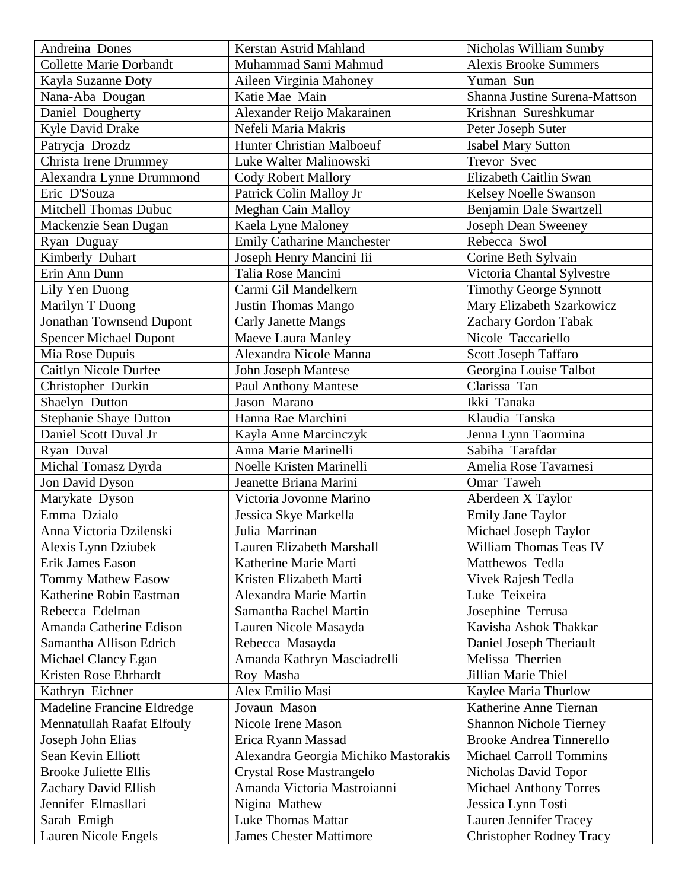| Andreina Dones                 | Kerstan Astrid Mahland               | Nicholas William Sumby          |
|--------------------------------|--------------------------------------|---------------------------------|
| <b>Collette Marie Dorbandt</b> | Muhammad Sami Mahmud                 | <b>Alexis Brooke Summers</b>    |
| Kayla Suzanne Doty             | Aileen Virginia Mahoney              | Yuman Sun                       |
| Nana-Aba Dougan                | Katie Mae Main                       | Shanna Justine Surena-Mattson   |
| Daniel Dougherty               | Alexander Reijo Makarainen           | Krishnan Sureshkumar            |
| Kyle David Drake               | Nefeli Maria Makris                  | Peter Joseph Suter              |
| Patrycja Drozdz                | Hunter Christian Malboeuf            | <b>Isabel Mary Sutton</b>       |
| Christa Irene Drummey          | Luke Walter Malinowski               | Trevor Svec                     |
| Alexandra Lynne Drummond       | <b>Cody Robert Mallory</b>           | Elizabeth Caitlin Swan          |
| Eric D'Souza                   | Patrick Colin Malloy Jr              | Kelsey Noelle Swanson           |
| Mitchell Thomas Dubuc          | Meghan Cain Malloy                   | Benjamin Dale Swartzell         |
| Mackenzie Sean Dugan           | Kaela Lyne Maloney                   | <b>Joseph Dean Sweeney</b>      |
| Ryan Duguay                    | <b>Emily Catharine Manchester</b>    | Rebecca Swol                    |
| Kimberly Duhart                | Joseph Henry Mancini Iii             | Corine Beth Sylvain             |
| Erin Ann Dunn                  | Talia Rose Mancini                   | Victoria Chantal Sylvestre      |
| Lily Yen Duong                 | Carmi Gil Mandelkern                 | <b>Timothy George Synnott</b>   |
| Marilyn T Duong                | <b>Justin Thomas Mango</b>           | Mary Elizabeth Szarkowicz       |
| Jonathan Townsend Dupont       | <b>Carly Janette Mangs</b>           | Zachary Gordon Tabak            |
| <b>Spencer Michael Dupont</b>  | Maeve Laura Manley                   | Nicole Taccariello              |
| Mia Rose Dupuis                | Alexandra Nicole Manna               | Scott Joseph Taffaro            |
| Caitlyn Nicole Durfee          | John Joseph Mantese                  | Georgina Louise Talbot          |
| Christopher Durkin             | <b>Paul Anthony Mantese</b>          | Clarissa Tan                    |
| Shaelyn Dutton                 | Jason Marano                         | Ikki Tanaka                     |
| <b>Stephanie Shaye Dutton</b>  | Hanna Rae Marchini                   | Klaudia Tanska                  |
| Daniel Scott Duval Jr          | Kayla Anne Marcinczyk                | Jenna Lynn Taormina             |
| Ryan Duval                     | Anna Marie Marinelli                 | Sabiha Tarafdar                 |
| Michal Tomasz Dyrda            | Noelle Kristen Marinelli             | Amelia Rose Tavarnesi           |
| Jon David Dyson                | Jeanette Briana Marini               | Omar Taweh                      |
|                                | Victoria Jovonne Marino              | Aberdeen X Taylor               |
| Marykate Dyson<br>Emma Dzialo  |                                      |                                 |
|                                | Jessica Skye Markella                | <b>Emily Jane Taylor</b>        |
| Anna Victoria Dzilenski        | Julia Marrinan                       | Michael Joseph Taylor           |
| Alexis Lynn Dziubek            | Lauren Elizabeth Marshall            | William Thomas Teas IV          |
| Erik James Eason               | Katherine Marie Marti                | Matthewos Tedla                 |
| <b>Tommy Mathew Easow</b>      | Kristen Elizabeth Marti              | Vivek Rajesh Tedla              |
| Katherine Robin Eastman        | Alexandra Marie Martin               | Luke Teixeira                   |
| Rebecca Edelman                | Samantha Rachel Martin               | Josephine Terrusa               |
| Amanda Catherine Edison        | Lauren Nicole Masayda                | Kavisha Ashok Thakkar           |
| Samantha Allison Edrich        | Rebecca Masayda                      | Daniel Joseph Theriault         |
| Michael Clancy Egan            | Amanda Kathryn Masciadrelli          | Melissa Therrien                |
| Kristen Rose Ehrhardt          | Roy Masha                            | Jillian Marie Thiel             |
| Kathryn Eichner                | Alex Emilio Masi                     | Kaylee Maria Thurlow            |
| Madeline Francine Eldredge     | Jovaun Mason                         | Katherine Anne Tiernan          |
| Mennatullah Raafat Elfouly     | Nicole Irene Mason                   | <b>Shannon Nichole Tierney</b>  |
| Joseph John Elias              | Erica Ryann Massad                   | <b>Brooke Andrea Tinnerello</b> |
| Sean Kevin Elliott             | Alexandra Georgia Michiko Mastorakis | <b>Michael Carroll Tommins</b>  |
| <b>Brooke Juliette Ellis</b>   | Crystal Rose Mastrangelo             | Nicholas David Topor            |
| Zachary David Ellish           | Amanda Victoria Mastroianni          | <b>Michael Anthony Torres</b>   |
| Jennifer Elmasllari            | Nigina Mathew                        | Jessica Lynn Tosti              |
| Sarah Emigh                    | <b>Luke Thomas Mattar</b>            | Lauren Jennifer Tracey          |
| Lauren Nicole Engels           | <b>James Chester Mattimore</b>       | <b>Christopher Rodney Tracy</b> |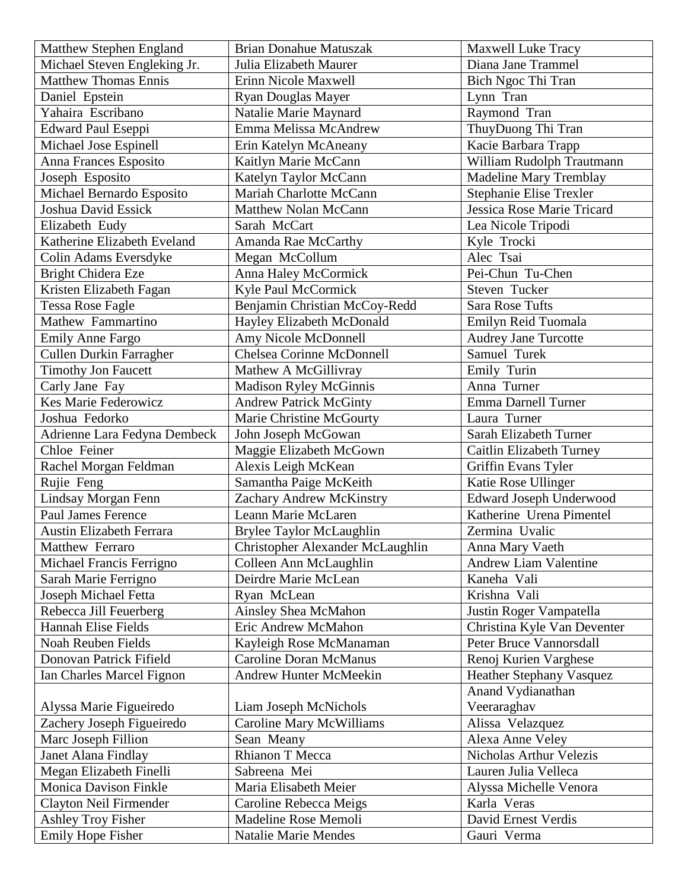| Matthew Stephen England        | <b>Brian Donahue Matuszak</b>    | Maxwell Luke Tracy              |
|--------------------------------|----------------------------------|---------------------------------|
| Michael Steven Engleking Jr.   | Julia Elizabeth Maurer           | Diana Jane Trammel              |
| <b>Matthew Thomas Ennis</b>    | Erinn Nicole Maxwell             | Bich Ngoc Thi Tran              |
| Daniel Epstein                 | <b>Ryan Douglas Mayer</b>        | Lynn Tran                       |
| Yahaira Escribano              | Natalie Marie Maynard            | Raymond Tran                    |
| Edward Paul Eseppi             | Emma Melissa McAndrew            | ThuyDuong Thi Tran              |
| Michael Jose Espinell          | Erin Katelyn McAneany            | Kacie Barbara Trapp             |
| Anna Frances Esposito          | Kaitlyn Marie McCann             | William Rudolph Trautmann       |
| Joseph Esposito                | Katelyn Taylor McCann            | <b>Madeline Mary Tremblay</b>   |
| Michael Bernardo Esposito      | Mariah Charlotte McCann          | Stephanie Elise Trexler         |
| Joshua David Essick            | Matthew Nolan McCann             | Jessica Rose Marie Tricard      |
| Elizabeth Eudy                 | Sarah McCart                     | Lea Nicole Tripodi              |
| Katherine Elizabeth Eveland    | Amanda Rae McCarthy              | Kyle Trocki                     |
| Colin Adams Eversdyke          | Megan McCollum                   | Alec Tsai                       |
| Bright Chidera Eze             | Anna Haley McCormick             | Pei-Chun Tu-Chen                |
| Kristen Elizabeth Fagan        | Kyle Paul McCormick              | Steven Tucker                   |
| <b>Tessa Rose Fagle</b>        | Benjamin Christian McCoy-Redd    | <b>Sara Rose Tufts</b>          |
| Mathew Fammartino              | Hayley Elizabeth McDonald        | Emilyn Reid Tuomala             |
| <b>Emily Anne Fargo</b>        | Amy Nicole McDonnell             | <b>Audrey Jane Turcotte</b>     |
| <b>Cullen Durkin Farragher</b> | <b>Chelsea Corinne McDonnell</b> | Samuel Turek                    |
| <b>Timothy Jon Faucett</b>     | Mathew A McGillivray             | Emily Turin                     |
| Carly Jane Fay                 | <b>Madison Ryley McGinnis</b>    | Anna Turner                     |
| <b>Kes Marie Federowicz</b>    | <b>Andrew Patrick McGinty</b>    | Emma Darnell Turner             |
| Joshua Fedorko                 | Marie Christine McGourty         | Laura Turner                    |
| Adrienne Lara Fedyna Dembeck   | John Joseph McGowan              | Sarah Elizabeth Turner          |
| Chloe Feiner                   | Maggie Elizabeth McGown          | Caitlin Elizabeth Turney        |
| Rachel Morgan Feldman          | Alexis Leigh McKean              | Griffin Evans Tyler             |
| Rujie Feng                     | Samantha Paige McKeith           | Katie Rose Ullinger             |
| Lindsay Morgan Fenn            | Zachary Andrew McKinstry         | Edward Joseph Underwood         |
| Paul James Ference             | Leann Marie McLaren              | Katherine Urena Pimentel        |
| Austin Elizabeth Ferrara       | Brylee Taylor McLaughlin         | Zermina Uvalic                  |
| Matthew Ferraro                | Christopher Alexander McLaughlin | Anna Mary Vaeth                 |
| Michael Francis Ferrigno       | Colleen Ann McLaughlin           | <b>Andrew Liam Valentine</b>    |
| Sarah Marie Ferrigno           | Deirdre Marie McLean             | Kaneha Vali                     |
| Joseph Michael Fetta           | Ryan McLean                      | Krishna Vali                    |
| Rebecca Jill Feuerberg         | Ainsley Shea McMahon             | Justin Roger Vampatella         |
| <b>Hannah Elise Fields</b>     | Eric Andrew McMahon              | Christina Kyle Van Deventer     |
| Noah Reuben Fields             | Kayleigh Rose McManaman          | Peter Bruce Vannorsdall         |
| Donovan Patrick Fifield        | <b>Caroline Doran McManus</b>    | Renoj Kurien Varghese           |
| Ian Charles Marcel Fignon      | Andrew Hunter McMeekin           | <b>Heather Stephany Vasquez</b> |
|                                |                                  | Anand Vydianathan               |
| Alyssa Marie Figueiredo        | Liam Joseph McNichols            | Veeraraghav                     |
| Zachery Joseph Figueiredo      | <b>Caroline Mary McWilliams</b>  | Alissa Velazquez                |
| Marc Joseph Fillion            | Sean Meany                       | Alexa Anne Veley                |
| Janet Alana Findlay            | Rhianon T Mecca                  | Nicholas Arthur Velezis         |
| Megan Elizabeth Finelli        | Sabreena Mei                     | Lauren Julia Velleca            |
| <b>Monica Davison Finkle</b>   | Maria Elisabeth Meier            | Alyssa Michelle Venora          |
| Clayton Neil Firmender         | Caroline Rebecca Meigs           | Karla Veras                     |
| <b>Ashley Troy Fisher</b>      | Madeline Rose Memoli             | David Ernest Verdis             |
| Emily Hope Fisher              | <b>Natalie Marie Mendes</b>      | Gauri Verma                     |
|                                |                                  |                                 |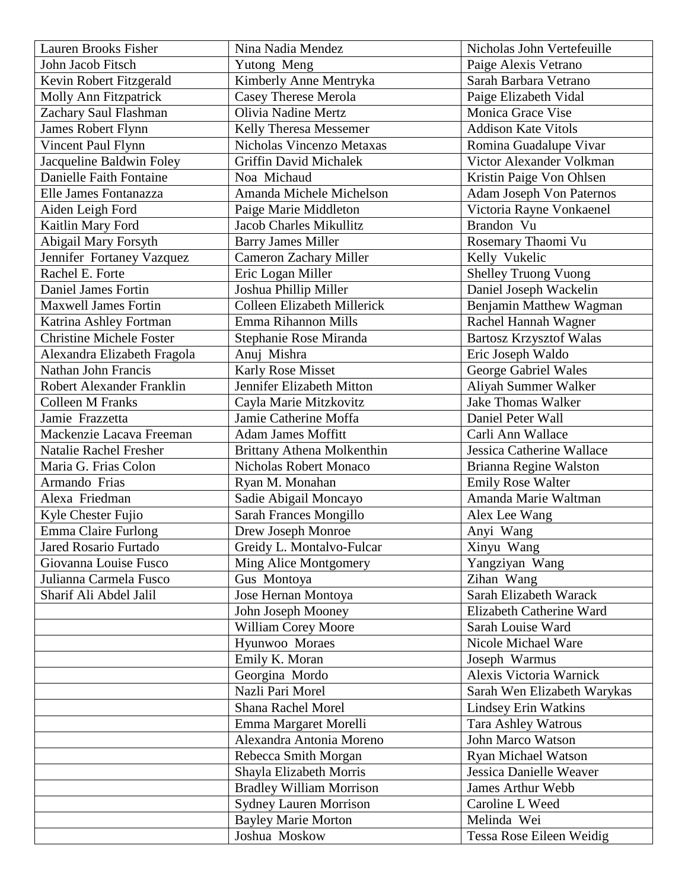| Lauren Brooks Fisher            | Nina Nadia Mendez                  | Nicholas John Vertefeuille      |
|---------------------------------|------------------------------------|---------------------------------|
| John Jacob Fitsch               | Yutong Meng                        | Paige Alexis Vetrano            |
| Kevin Robert Fitzgerald         | Kimberly Anne Mentryka             | Sarah Barbara Vetrano           |
| <b>Molly Ann Fitzpatrick</b>    | <b>Casey Therese Merola</b>        | Paige Elizabeth Vidal           |
| Zachary Saul Flashman           | <b>Olivia Nadine Mertz</b>         | Monica Grace Vise               |
| <b>James Robert Flynn</b>       | Kelly Theresa Messemer             | <b>Addison Kate Vitols</b>      |
| Vincent Paul Flynn              | Nicholas Vincenzo Metaxas          | Romina Guadalupe Vivar          |
| Jacqueline Baldwin Foley        | <b>Griffin David Michalek</b>      | Victor Alexander Volkman        |
| Danielle Faith Fontaine         | Noa Michaud                        | Kristin Paige Von Ohlsen        |
| Elle James Fontanazza           | Amanda Michele Michelson           | <b>Adam Joseph Von Paternos</b> |
| Aiden Leigh Ford                | Paige Marie Middleton              | Victoria Rayne Vonkaenel        |
| Kaitlin Mary Ford               | <b>Jacob Charles Mikullitz</b>     | Brandon Vu                      |
| Abigail Mary Forsyth            | <b>Barry James Miller</b>          | Rosemary Thaomi Vu              |
| Jennifer Fortaney Vazquez       | <b>Cameron Zachary Miller</b>      | Kelly Vukelic                   |
| Rachel E. Forte                 | Eric Logan Miller                  | <b>Shelley Truong Vuong</b>     |
| <b>Daniel James Fortin</b>      | Joshua Phillip Miller              | Daniel Joseph Wackelin          |
| <b>Maxwell James Fortin</b>     | <b>Colleen Elizabeth Millerick</b> | Benjamin Matthew Wagman         |
| Katrina Ashley Fortman          | Emma Rihannon Mills                | Rachel Hannah Wagner            |
| <b>Christine Michele Foster</b> | Stephanie Rose Miranda             | <b>Bartosz Krzysztof Walas</b>  |
| Alexandra Elizabeth Fragola     | Anuj Mishra                        | Eric Joseph Waldo               |
| Nathan John Francis             | <b>Karly Rose Misset</b>           | George Gabriel Wales            |
| Robert Alexander Franklin       | Jennifer Elizabeth Mitton          | Aliyah Summer Walker            |
| <b>Colleen M Franks</b>         | Cayla Marie Mitzkovitz             | <b>Jake Thomas Walker</b>       |
| Jamie Frazzetta                 | Jamie Catherine Moffa              | Daniel Peter Wall               |
| Mackenzie Lacava Freeman        | <b>Adam James Moffitt</b>          | Carli Ann Wallace               |
| Natalie Rachel Fresher          | Brittany Athena Molkenthin         | Jessica Catherine Wallace       |
| Maria G. Frias Colon            | Nicholas Robert Monaco             | Brianna Regine Walston          |
| Armando Frias                   | Ryan M. Monahan                    | <b>Emily Rose Walter</b>        |
| Alexa Friedman                  | Sadie Abigail Moncayo              | Amanda Marie Waltman            |
| Kyle Chester Fujio              | <b>Sarah Frances Mongillo</b>      | Alex Lee Wang                   |
| Emma Claire Furlong             | Drew Joseph Monroe                 | Anyi Wang                       |
| Jared Rosario Furtado           | Greidy L. Montalvo-Fulcar          | Xinyu Wang                      |
| Giovanna Louise Fusco           | Ming Alice Montgomery              | Yangziyan Wang                  |
| Julianna Carmela Fusco          | Gus Montoya                        | Zihan Wang                      |
| Sharif Ali Abdel Jalil          | Jose Hernan Montoya                | Sarah Elizabeth Warack          |
|                                 | John Joseph Mooney                 | Elizabeth Catherine Ward        |
|                                 | William Corey Moore                | Sarah Louise Ward               |
|                                 | Hyunwoo Moraes                     | Nicole Michael Ware             |
|                                 | Emily K. Moran                     | Joseph Warmus                   |
|                                 | Georgina Mordo                     | Alexis Victoria Warnick         |
|                                 | Nazli Pari Morel                   | Sarah Wen Elizabeth Warykas     |
|                                 | <b>Shana Rachel Morel</b>          | <b>Lindsey Erin Watkins</b>     |
|                                 | Emma Margaret Morelli              | <b>Tara Ashley Watrous</b>      |
|                                 | Alexandra Antonia Moreno           | John Marco Watson               |
|                                 | Rebecca Smith Morgan               | <b>Ryan Michael Watson</b>      |
|                                 | Shayla Elizabeth Morris            | Jessica Danielle Weaver         |
|                                 | <b>Bradley William Morrison</b>    | <b>James Arthur Webb</b>        |
|                                 | <b>Sydney Lauren Morrison</b>      | Caroline L Weed                 |
|                                 | <b>Bayley Marie Morton</b>         | Melinda Wei                     |
|                                 | Joshua Moskow                      | Tessa Rose Eileen Weidig        |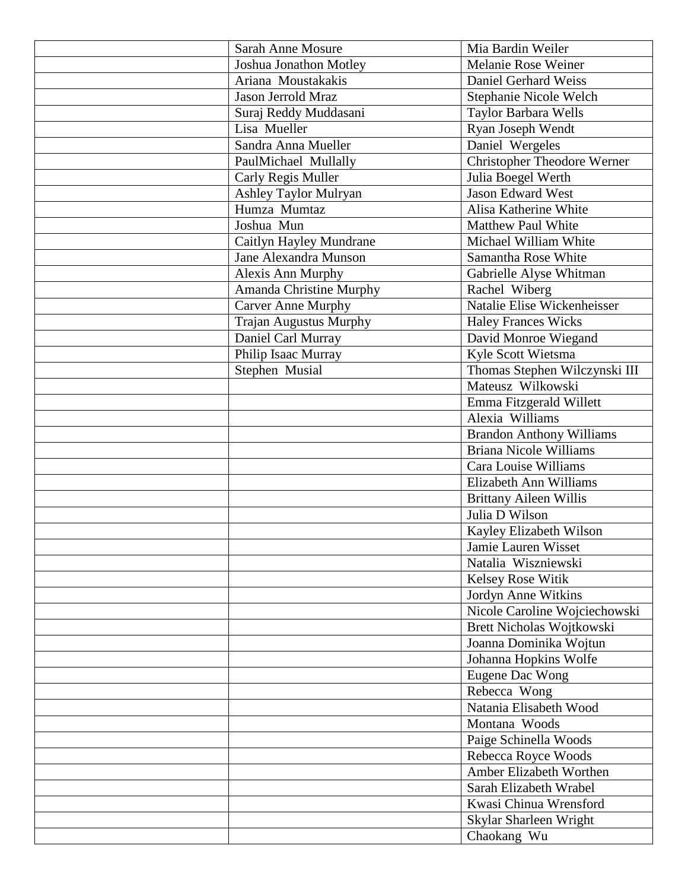| <b>Sarah Anne Mosure</b>      | Mia Bardin Weiler                  |
|-------------------------------|------------------------------------|
| Joshua Jonathon Motley        | Melanie Rose Weiner                |
| Ariana Moustakakis            | Daniel Gerhard Weiss               |
| Jason Jerrold Mraz            | Stephanie Nicole Welch             |
| Suraj Reddy Muddasani         | Taylor Barbara Wells               |
| Lisa Mueller                  | Ryan Joseph Wendt                  |
| Sandra Anna Mueller           | Daniel Wergeles                    |
| PaulMichael Mullally          | <b>Christopher Theodore Werner</b> |
| Carly Regis Muller            | Julia Boegel Werth                 |
| Ashley Taylor Mulryan         | <b>Jason Edward West</b>           |
| Humza Mumtaz                  | Alisa Katherine White              |
| Joshua Mun                    | <b>Matthew Paul White</b>          |
| Caitlyn Hayley Mundrane       | Michael William White              |
| Jane Alexandra Munson         | Samantha Rose White                |
| <b>Alexis Ann Murphy</b>      | Gabrielle Alyse Whitman            |
| Amanda Christine Murphy       | Rachel Wiberg                      |
| <b>Carver Anne Murphy</b>     | Natalie Elise Wickenheisser        |
| <b>Trajan Augustus Murphy</b> | <b>Haley Frances Wicks</b>         |
| Daniel Carl Murray            | David Monroe Wiegand               |
| Philip Isaac Murray           | Kyle Scott Wietsma                 |
| Stephen Musial                | Thomas Stephen Wilczynski III      |
|                               | Mateusz Wilkowski                  |
|                               | Emma Fitzgerald Willett            |
|                               | Alexia Williams                    |
|                               | <b>Brandon Anthony Williams</b>    |
|                               | <b>Briana Nicole Williams</b>      |
|                               | Cara Louise Williams               |
|                               | Elizabeth Ann Williams             |
|                               | <b>Brittany Aileen Willis</b>      |
|                               | Julia D Wilson                     |
|                               | Kayley Elizabeth Wilson            |
|                               | Jamie Lauren Wisset                |
|                               | Natalia Wiszniewski                |
|                               | Kelsey Rose Witik                  |
|                               | Jordyn Anne Witkins                |
|                               | Nicole Caroline Wojciechowski      |
|                               | Brett Nicholas Wojtkowski          |
|                               | Joanna Dominika Wojtun             |
|                               | Johanna Hopkins Wolfe              |
|                               | Eugene Dac Wong                    |
|                               | Rebecca Wong                       |
|                               | Natania Elisabeth Wood             |
|                               | Montana Woods                      |
|                               | Paige Schinella Woods              |
|                               | Rebecca Royce Woods                |
|                               | Amber Elizabeth Worthen            |
|                               | Sarah Elizabeth Wrabel             |
|                               | Kwasi Chinua Wrensford             |
|                               | Skylar Sharleen Wright             |
|                               | Chaokang Wu                        |
|                               |                                    |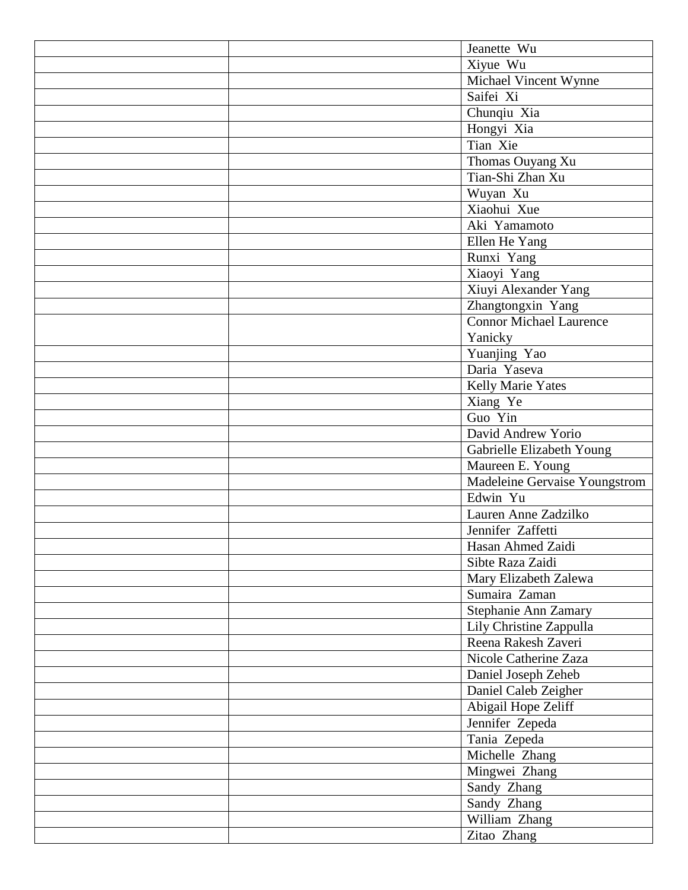|  | Jeanette Wu                    |
|--|--------------------------------|
|  | Xiyue Wu                       |
|  | Michael Vincent Wynne          |
|  | Saifei Xi                      |
|  | Chunqiu Xia                    |
|  | Hongyi Xia                     |
|  | Tian Xie                       |
|  | Thomas Ouyang Xu               |
|  | Tian-Shi Zhan Xu               |
|  | Wuyan Xu                       |
|  | Xiaohui Xue                    |
|  | Aki Yamamoto                   |
|  | Ellen He Yang                  |
|  | Runxi Yang                     |
|  | Xiaoyi Yang                    |
|  | Xiuyi Alexander Yang           |
|  | Zhangtongxin Yang              |
|  | <b>Connor Michael Laurence</b> |
|  | Yanicky                        |
|  | Yuanjing Yao                   |
|  | Daria Yaseva                   |
|  | Kelly Marie Yates              |
|  | Xiang Ye                       |
|  | Guo Yin                        |
|  | David Andrew Yorio             |
|  | Gabrielle Elizabeth Young      |
|  | Maureen E. Young               |
|  | Madeleine Gervaise Youngstrom  |
|  | Edwin Yu                       |
|  | Lauren Anne Zadzilko           |
|  | Jennifer Zaffetti              |
|  | Hasan Ahmed Zaidi              |
|  | Sibte Raza Zaidi               |
|  | Mary Elizabeth Zalewa          |
|  | Sumaira Zaman                  |
|  | Stephanie Ann Zamary           |
|  | Lily Christine Zappulla        |
|  | Reena Rakesh Zaveri            |
|  | Nicole Catherine Zaza          |
|  | Daniel Joseph Zeheb            |
|  | Daniel Caleb Zeigher           |
|  | Abigail Hope Zeliff            |
|  | Jennifer Zepeda                |
|  | Tania Zepeda                   |
|  | Michelle Zhang                 |
|  | Mingwei Zhang                  |
|  | Sandy Zhang                    |
|  | Sandy Zhang                    |
|  | William Zhang                  |
|  | Zitao Zhang                    |
|  |                                |